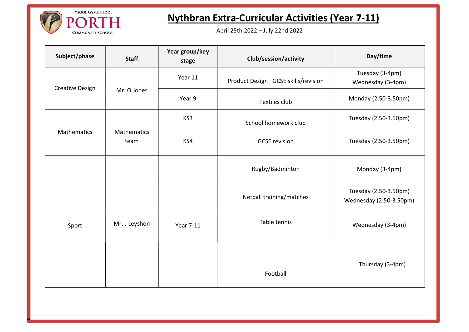

DH**a an t-ainm an t-ainm an t-ainm an t-ainm an t-ainm an t-ainm an t-ainm an t-ainm an t-ainm an t-ainm an t-ai** 

## Nythbran Extra-Curricular Activities (Year 7-11)

April 25th 2022 – July 22nd 2022

| Subject/phase          | <b>Staff</b>        | Year group/key<br>stage | Club/session/activity                | Day/time                                         |
|------------------------|---------------------|-------------------------|--------------------------------------|--------------------------------------------------|
| <b>Creative Design</b> | Mr. O Jones         | Year 11                 | Product Design -GCSE skills/revision | Tuesday (3-4pm)<br>Wednesday (3-4pm)             |
|                        |                     | Year 9                  | Textiles club                        | Monday (2.50-3.50pm)                             |
| Mathematics            | Mathematics<br>team | KS3                     | School homework club                 | Tuesday (2.50-3.50pm)                            |
|                        |                     | KS4                     | <b>GCSE</b> revision                 | Tuesday (2.50-3.50pm)                            |
| Sport                  | Mr. J Leyshon       | <b>Year 7-11</b>        | Rugby/Badminton                      | Monday (3-4pm)                                   |
|                        |                     |                         | Netball training/matches             | Tuesday (2.50-3.50pm)<br>Wednesday (2.50-3.50pm) |
|                        |                     |                         | Table tennis                         | Wednesday (3-4pm)                                |
|                        |                     |                         | Football                             | Thursday (3-4pm)                                 |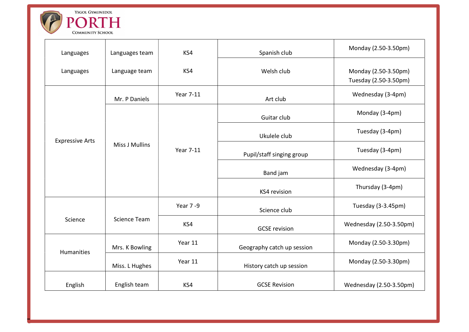

DH**a an t-ainm an t-ainm an t-ainm an t-ainm an t-ainm an t-ainm an t-ainm an t-ainm an t-ainm an t-ainm an t-ai** 

| Languages              | Languages team        | KS4       | Spanish club               | Monday (2.50-3.50pm)                          |
|------------------------|-----------------------|-----------|----------------------------|-----------------------------------------------|
| Languages              | Language team         | KS4       | Welsh club                 | Monday (2.50-3.50pm)<br>Tuesday (2.50-3.50pm) |
|                        | Mr. P Daniels         | Year 7-11 | Art club                   | Wednesday (3-4pm)                             |
| <b>Expressive Arts</b> | <b>Miss J Mullins</b> | Year 7-11 | Guitar club                | Monday (3-4pm)                                |
|                        |                       |           | Ukulele club               | Tuesday (3-4pm)                               |
|                        |                       |           | Pupil/staff singing group  | Tuesday (3-4pm)                               |
|                        |                       |           | Band jam                   | Wednesday (3-4pm)                             |
|                        |                       |           | KS4 revision               | Thursday (3-4pm)                              |
|                        | <b>Science Team</b>   | Year 7-9  | Science club               | Tuesday (3-3.45pm)                            |
| Science                |                       | KS4       | <b>GCSE</b> revision       | Wednesday (2.50-3.50pm)                       |
| <b>Humanities</b>      | Mrs. K Bowling        | Year 11   | Geography catch up session | Monday (2.50-3.30pm)                          |
|                        | Miss. L Hughes        | Year 11   | History catch up session   | Monday (2.50-3.30pm)                          |
| English                | English team          | KS4       | <b>GCSE Revision</b>       | Wednesday (2.50-3.50pm)                       |